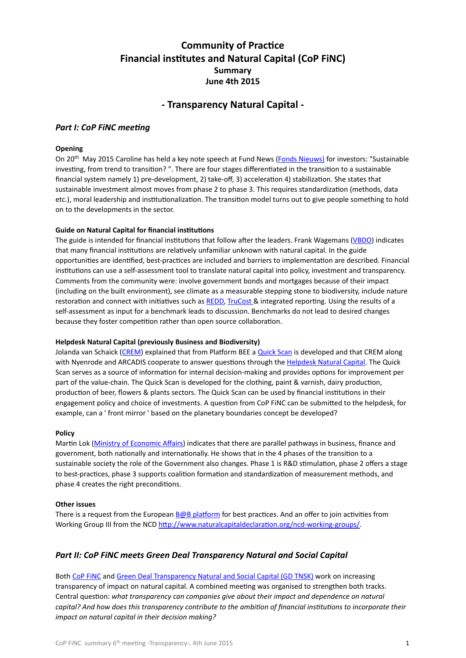# **Community of Practice Financial institutes and Natural Capital (CoP FINC) Summary June 4th 2015**

# **- Transparency Natural Capital -**

## **Part I: CoP FiNC meeting**

### **Opening**

On 20<sup>th</sup> May 2015 Caroline has held a key note speech at Fund News (Fonds Nieuws) for investors: "Sustainable investing, from trend to transition? ". There are four stages differentiated in the transition to a sustainable financial system namely 1) pre-development, 2) take-off, 3) acceleration 4) stabilization. She states that sustainable investment almost moves from phase 2 to phase 3. This requires standardization (methods, data etc.), moral leadership and institutionalization. The transition model turns out to give people something to hold on to the developments in the sector.

## **Guide on Natural Capital for financial institutions**

The guide is intended for financial institutions that follow after the leaders. Frank Wagemans [\(VBDO\)](http://www.vbdo.nl) indicates that many financial institutions are relatively unfamiliar unknown with natural capital. In the guide opportunities are identified, best-practices are included and barriers to implementation are described. Financial institutions can use a self-assessment tool to translate natural capital into policy, investment and transparency. Comments from the community were: involve government bonds and mortgages because of their impact (including on the built environment), see climate as a measurable stepping stone to biodiversity, include nature restoration and connect with initiatives such as [REDD,](http://www.un-redd.org/) [TruCost](http://www.trucost.com/) & integrated reporting. Using the results of a self-assessment as input for a benchmark leads to discussion. Benchmarks do not lead to desired changes because they foster competition rather than open source collaboration.

### **Helpdesk Natural Capital (previously Business and Biodiversity)**

Jolanda van Schaick ([CREM](http://www.crem.nl)) explained that from Platform BEE a Quick Scan is developed and that CREM along with Nyenrode and ARCADIS cooperate to answer questions through the Helpdesk Natural Capital. The Quick Scan serves as a source of information for internal decision-making and provides options for improvement per part of the value-chain. The Quick Scan is developed for the clothing, paint & varnish, dairy production, production of beer, flowers & plants sectors. The Quick Scan can be used by financial institutions in their engagement policy and choice of investments. A question from CoP FiNC can be submitted to the helpdesk, for example, can a ' front mirror ' based on the planetary boundaries concept be developed?

### **Policy**

Martin Lok (Ministry of Economic Affairs) indicates that there are parallel pathways in business, finance and government, both nationally and internationally. He shows that in the 4 phases of the transition to a sustainable society the role of the Government also changes. Phase 1 is R&D stimulation, phase 2 offers a stage to best-practices, phase 3 supports coalition formation and standardization of measurement methods, and phase 4 creates the right preconditions.

### **Other issues**

There is a request from the European  $B@B$  platform for best practices. And an offer to join activities from Working Group III from the NCD http://www.naturalcapitaldeclaration.org/ncd-working-groups/.

## Part II: CoP FiNC meets Green Deal Transparency Natural and Social Capital

Both CoP FiNC and Green Deal Transparency Natural and Social Capital (GD TNSK) work on increasing transparency of impact on natural capital. A combined meeting was organised to strengthen both tracks. Central question: what transparency can companies give about their impact and dependence on natural *capital?* And how does this transparency contribute to the ambition of financial institutions to incorporate their *impact on natural capital in their decision making?*